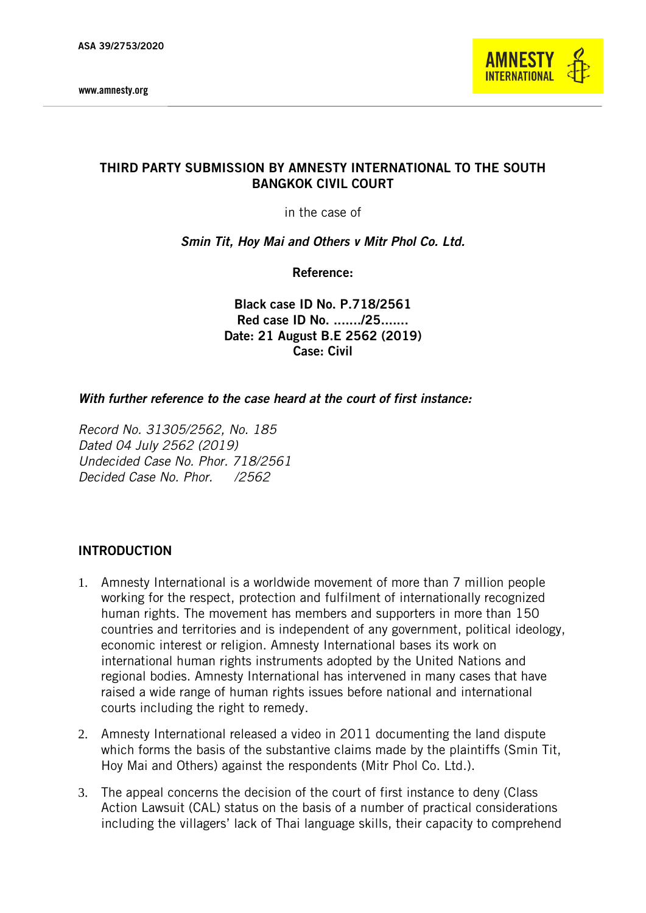

# THIRD PARTY SUBMISSION BY AMNESTY INTERNATIONAL TO THE SOUTH BANGKOK CIVIL COURT

in the case of

*Smin Tit, Hoy Mai and Others v Mitr Phol Co. Ltd.*

Reference:

Black case ID No. P.718/2561 Red case ID No. ......./25....... Date: 21 August B.E 2562 (2019) Case: Civil

#### *With further reference to the case heard at the court of first instance:*

*Record No. 31305/2562, No. 185 Dated 04 July 2562 (2019) Undecided Case No. Phor. 718/2561 Decided Case No. Phor. /2562*

### INTRODUCTION

- 1. Amnesty International is a worldwide movement of more than 7 million people working for the respect, protection and fulfilment of internationally recognized human rights. The movement has members and supporters in more than 150 countries and territories and is independent of any government, political ideology, economic interest or religion. Amnesty International bases its work on international human rights instruments adopted by the United Nations and regional bodies. Amnesty International has intervened in many cases that have raised a wide range of human rights issues before national and international courts including the right to remedy.
- 2. Amnesty International released a video in 2011 documenting the land dispute which forms the basis of the substantive claims made by the plaintiffs (Smin Tit, Hoy Mai and Others) against the respondents (Mitr Phol Co. Ltd.).
- 3. The appeal concerns the decision of the court of first instance to deny (Class Action Lawsuit (CAL) status on the basis of a number of practical considerations including the villagers' lack of Thai language skills, their capacity to comprehend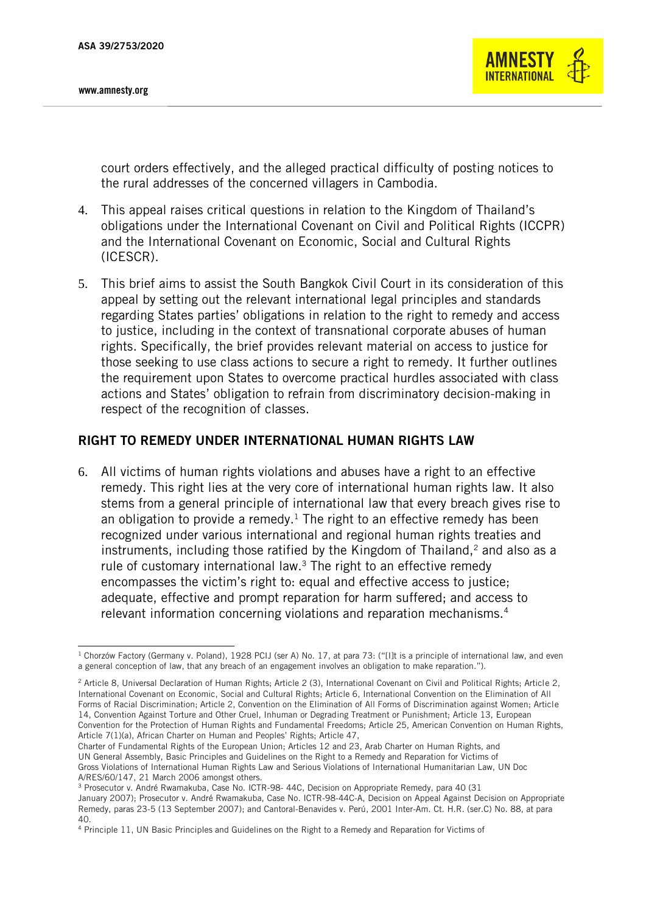

court orders effectively, and the alleged practical difficulty of posting notices to the rural addresses of the concerned villagers in Cambodia.

- 4. This appeal raises critical questions in relation to the Kingdom of Thailand's obligations under the International Covenant on Civil and Political Rights (ICCPR) and the International Covenant on Economic, Social and Cultural Rights (ICESCR).
- 5. This brief aims to assist the South Bangkok Civil Court in its consideration of this appeal by setting out the relevant international legal principles and standards regarding States parties' obligations in relation to the right to remedy and access to justice, including in the context of transnational corporate abuses of human rights. Specifically, the brief provides relevant material on access to justice for those seeking to use class actions to secure a right to remedy. It further outlines the requirement upon States to overcome practical hurdles associated with class actions and States' obligation to refrain from discriminatory decision-making in respect of the recognition of classes.

### RIGHT TO REMEDY UNDER INTERNATIONAL HUMAN RIGHTS LAW

6. All victims of human rights violations and abuses have a right to an effective remedy. This right lies at the very core of international human rights law. It also stems from a general principle of international law that every breach gives rise to an obligation to provide a remedy.<sup>1</sup> The right to an effective remedy has been recognized under various international and regional human rights treaties and instruments, including those ratified by the Kingdom of Thailand, $2$  and also as a rule of customary international law.<sup>3</sup> The right to an effective remedy encompasses the victim's right to: equal and effective access to justice; adequate, effective and prompt reparation for harm suffered; and access to relevant information concerning violations and reparation mechanisms.<sup>4</sup>

<sup>3</sup> Prosecutor v. André Rwamakuba, Case No. ICTR-98- 44C, Decision on Appropriate Remedy, para 40 (31

<sup>-</sup><sup>1</sup> Chorzów Factory (Germany v. Poland), 1928 PCIJ (ser A) No. 17, at para 73: ("[I]t is a principle of international law, and even a general conception of law, that any breach of an engagement involves an obligation to make reparation.").

<sup>&</sup>lt;sup>2</sup> Article 8, Universal Declaration of Human Rights; Article 2 (3), International Covenant on Civil and Political Rights; Article 2, International Covenant on Economic, Social and Cultural Rights; Article 6, International Convention on the Elimination of All Forms of Racial Discrimination; Article 2, Convention on the Elimination of All Forms of Discrimination against Women; Article 14, Convention Against Torture and Other Cruel, Inhuman or Degrading Treatment or Punishment; Article 13, European Convention for the Protection of Human Rights and Fundamental Freedoms; Article 25, American Convention on Human Rights, Article 7(1)(a), African Charter on Human and Peoples' Rights; Article 47,

Charter of Fundamental Rights of the European Union; Articles 12 and 23, Arab Charter on Human Rights, and UN General Assembly, Basic Principles and Guidelines on the Right to a Remedy and Reparation for Victims of Gross Violations of International Human Rights Law and Serious Violations of International Humanitarian Law, UN Doc A/RES/60/147, 21 March 2006 amongst others.

January 2007); Prosecutor v. André Rwamakuba, Case No. ICTR-98-44C-A, Decision on Appeal Against Decision on Appropriate Remedy, paras 23-5 (13 September 2007); and Cantoral-Benavides v. Perú, 2001 Inter-Am. Ct. H.R. (ser.C) No. 88, at para 40.

<sup>4</sup> Principle 11, UN Basic Principles and Guidelines on the Right to a Remedy and Reparation for Victims of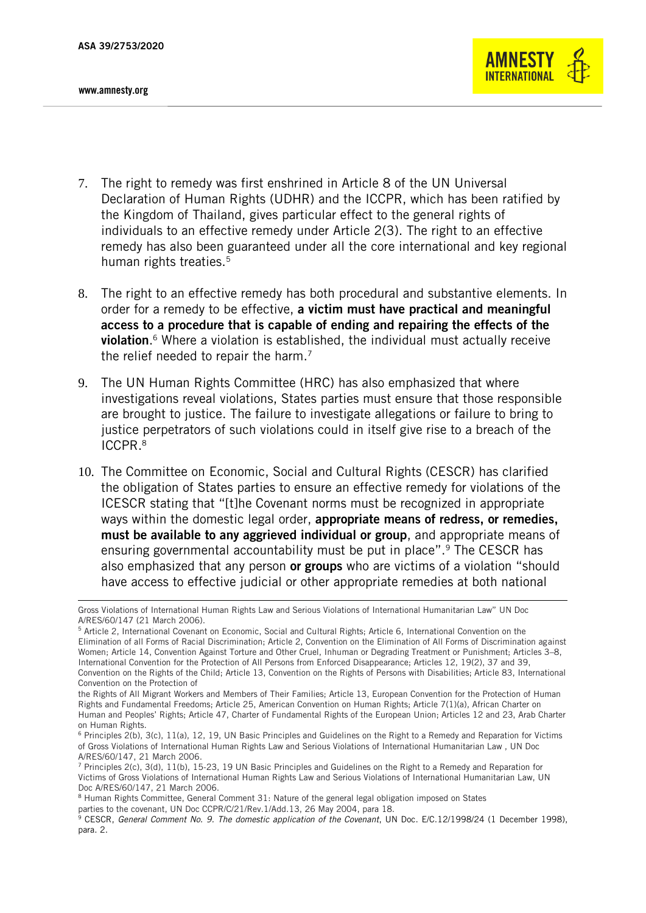-



- 7. The right to remedy was first enshrined in Article 8 of the UN Universal Declaration of Human Rights (UDHR) and the ICCPR, which has been ratified by the Kingdom of Thailand, gives particular effect to the general rights of individuals to an effective remedy under Article 2(3). The right to an effective remedy has also been guaranteed under all the core international and key regional human rights treaties.<sup>5</sup>
- 8. The right to an effective remedy has both procedural and substantive elements. In order for a remedy to be effective, a victim must have practical and meaningful access to a procedure that is capable of ending and repairing the effects of the violation. <sup>6</sup> Where a violation is established, the individual must actually receive the relief needed to repair the harm.<sup>7</sup>
- 9. The UN Human Rights Committee (HRC) has also emphasized that where investigations reveal violations, States parties must ensure that those responsible are brought to justice. The failure to investigate allegations or failure to bring to justice perpetrators of such violations could in itself give rise to a breach of the ICCPR.<sup>8</sup>
- 10. The Committee on Economic, Social and Cultural Rights (CESCR) has clarified the obligation of States parties to ensure an effective remedy for violations of the ICESCR stating that "[t]he Covenant norms must be recognized in appropriate ways within the domestic legal order, appropriate means of redress, or remedies, must be available to any aggrieved individual or group, and appropriate means of ensuring governmental accountability must be put in place".<sup>9</sup> The CESCR has also emphasized that any person or groups who are victims of a violation "should have access to effective judicial or other appropriate remedies at both national

Gross Violations of International Human Rights Law and Serious Violations of International Humanitarian Law" UN Doc A/RES/60/147 (21 March 2006).

<sup>5</sup> Article 2, International Covenant on Economic, Social and Cultural Rights; Article 6, International Convention on the Elimination of all Forms of Racial Discrimination; Article 2, Convention on the Elimination of All Forms of Discrimination against Women; Article 14, Convention Against Torture and Other Cruel, Inhuman or Degrading Treatment or Punishment; Articles 3–8, International Convention for the Protection of All Persons from Enforced Disappearance; Articles 12, 19(2), 37 and 39, Convention on the Rights of the Child; Article 13, Convention on the Rights of Persons with Disabilities; Article 83, International Convention on the Protection of

the Rights of All Migrant Workers and Members of Their Families; Article 13, European Convention for the Protection of Human Rights and Fundamental Freedoms; Article 25, American Convention on Human Rights; Article 7(1)(a), African Charter on Human and Peoples' Rights; Article 47, Charter of Fundamental Rights of the European Union; Articles 12 and 23, Arab Charter on Human Rights.

<sup>6</sup> Principles 2(b), 3(c), 11(a), 12, 19, UN Basic Principles and Guidelines on the Right to a Remedy and Reparation for Victims of Gross Violations of International Human Rights Law and Serious Violations of International Humanitarian Law , UN Doc A/RES/60/147, 21 March 2006.

 $<sup>7</sup>$  Principles 2(c), 3(d), 11(b), 15-23, 19 UN Basic Principles and Guidelines on the Right to a Remedy and Reparation for</sup> Victims of Gross Violations of International Human Rights Law and Serious Violations of International Humanitarian Law, UN Doc A/RES/60/147, 21 March 2006.

<sup>8</sup> Human Rights Committee, General Comment 31: Nature of the general legal obligation imposed on States parties to the covenant, UN Doc CCPR/C/21/Rev.1/Add.13, 26 May 2004, para 18.

<sup>&</sup>lt;sup>9</sup> CESCR, *General Comment No. 9. The domestic application of the Covenant*, UN Doc. E/C.12/1998/24 (1 December 1998), para. 2.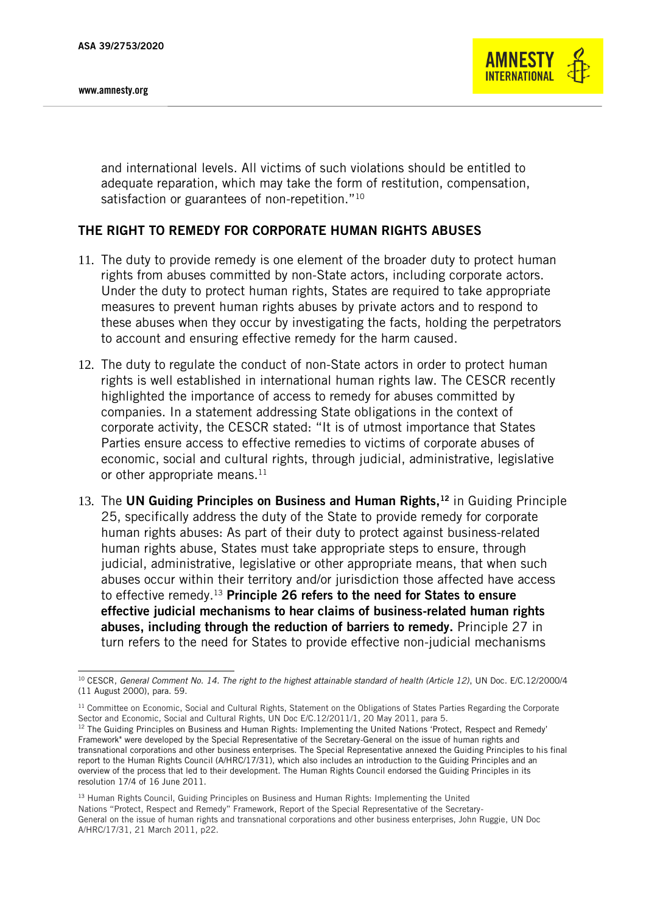

and international levels. All victims of such violations should be entitled to adequate reparation, which may take the form of restitution, compensation, satisfaction or guarantees of non-repetition."<sup>10</sup>

## THE RIGHT TO REMEDY FOR CORPORATE HUMAN RIGHTS ABUSES

- 11. The duty to provide remedy is one element of the broader duty to protect human rights from abuses committed by non-State actors, including corporate actors. Under the duty to protect human rights, States are required to take appropriate measures to prevent human rights abuses by private actors and to respond to these abuses when they occur by investigating the facts, holding the perpetrators to account and ensuring effective remedy for the harm caused.
- 12. The duty to regulate the conduct of non-State actors in order to protect human rights is well established in international human rights law. The CESCR recently highlighted the importance of access to remedy for abuses committed by companies. In a statement addressing State obligations in the context of corporate activity, the CESCR stated: "It is of utmost importance that States Parties ensure access to effective remedies to victims of corporate abuses of economic, social and cultural rights, through judicial, administrative, legislative or other appropriate means. $^{11}$
- 13. The UN Guiding Principles on Business and Human Rights,<sup>12</sup> in Guiding Principle 25, specifically address the duty of the State to provide remedy for corporate human rights abuses: As part of their duty to protect against business-related human rights abuse, States must take appropriate steps to ensure, through judicial, administrative, legislative or other appropriate means, that when such abuses occur within their territory and/or jurisdiction those affected have access to effective remedy.<sup>13</sup> Principle 26 refers to the need for States to ensure effective judicial mechanisms to hear claims of business-related human rights abuses, including through the reduction of barriers to remedy. Principle 27 in turn refers to the need for States to provide effective non-judicial mechanisms

<sup>13</sup> Human Rights Council, Guiding Principles on Business and Human Rights: Implementing the United Nations "Protect, Respect and Remedy" Framework, Report of the Special Representative of the Secretary-General on the issue of human rights and transnational corporations and other business enterprises, John Ruggie, UN Doc A/HRC/17/31, 21 March 2011, p22.

<sup>-</sup><sup>10</sup> CESCR, *General Comment No. 14. The right to the highest attainable standard of health (Article 12)*, UN Doc. E/C.12/2000/4 (11 August 2000), para. 59.

<sup>&</sup>lt;sup>11</sup> Committee on Economic, Social and Cultural Rights, Statement on the Obligations of States Parties Regarding the Corporate Sector and Economic, Social and Cultural Rights, UN Doc E/C.12/2011/1, 20 May 2011, para 5. <sup>12</sup> The Guiding Principles on Business and Human Rights: Implementing the United Nations 'Protect, Respect and Remedy' Framework" were developed by the Special Representative of the Secretary-General on the issue of human rights and transnational corporations and other business enterprises. The Special Representative annexed the Guiding Principles to his final report to the Human Rights Council (A/HRC/17/31), which also includes an introduction to the Guiding Principles and an overview of the process that led to their development. The Human Rights Council endorsed the Guiding Principles in its resolution 17/4 of 16 June 2011.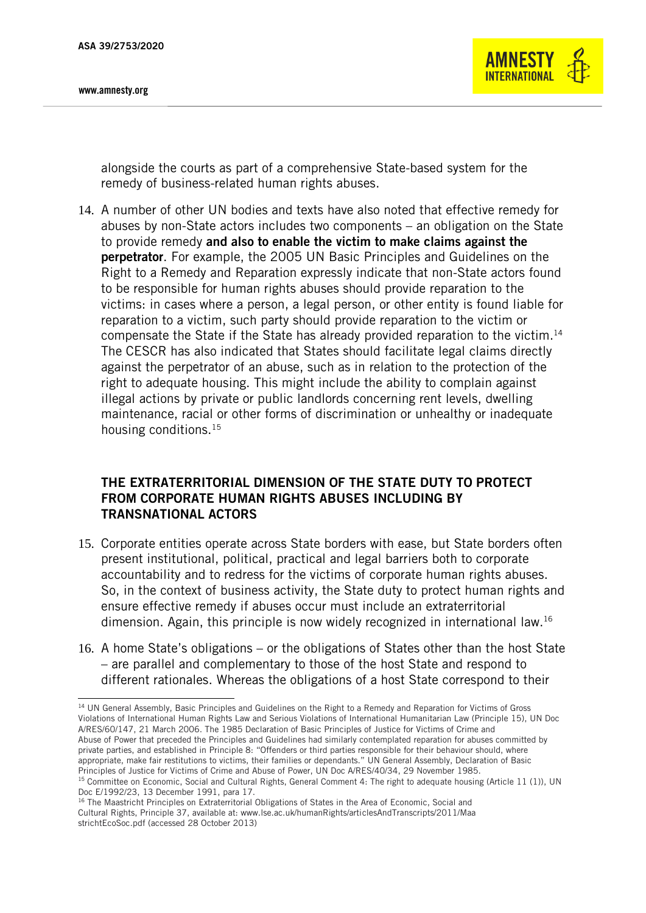

alongside the courts as part of a comprehensive State-based system for the remedy of business-related human rights abuses.

14. A number of other UN bodies and texts have also noted that effective remedy for abuses by non-State actors includes two components – an obligation on the State to provide remedy and also to enable the victim to make claims against the perpetrator. For example, the 2005 UN Basic Principles and Guidelines on the Right to a Remedy and Reparation expressly indicate that non-State actors found to be responsible for human rights abuses should provide reparation to the victims: in cases where a person, a legal person, or other entity is found liable for reparation to a victim, such party should provide reparation to the victim or compensate the State if the State has already provided reparation to the victim.<sup>14</sup> The CESCR has also indicated that States should facilitate legal claims directly against the perpetrator of an abuse, such as in relation to the protection of the right to adequate housing. This might include the ability to complain against illegal actions by private or public landlords concerning rent levels, dwelling maintenance, racial or other forms of discrimination or unhealthy or inadequate housing conditions.<sup>15</sup>

# THE EXTRATERRITORIAL DIMENSION OF THE STATE DUTY TO PROTECT FROM CORPORATE HUMAN RIGHTS ABUSES INCLUDING BY TRANSNATIONAL ACTORS

- 15. Corporate entities operate across State borders with ease, but State borders often present institutional, political, practical and legal barriers both to corporate accountability and to redress for the victims of corporate human rights abuses. So, in the context of business activity, the State duty to protect human rights and ensure effective remedy if abuses occur must include an extraterritorial dimension. Again, this principle is now widely recognized in international law.<sup>16</sup>
- 16. A home State's obligations or the obligations of States other than the host State – are parallel and complementary to those of the host State and respond to different rationales. Whereas the obligations of a host State correspond to their

<sup>-</sup><sup>14</sup> UN General Assembly, Basic Principles and Guidelines on the Right to a Remedy and Reparation for Victims of Gross Violations of International Human Rights Law and Serious Violations of International Humanitarian Law (Principle 15), UN Doc A/RES/60/147, 21 March 2006. The 1985 Declaration of Basic Principles of Justice for Victims of Crime and Abuse of Power that preceded the Principles and Guidelines had similarly contemplated reparation for abuses committed by private parties, and established in Principle 8: "Offenders or third parties responsible for their behaviour should, where appropriate, make fair restitutions to victims, their families or dependants." UN General Assembly, Declaration of Basic Principles of Justice for Victims of Crime and Abuse of Power, UN Doc A/RES/40/34, 29 November 1985. <sup>15</sup> Committee on Economic, Social and Cultural Rights, General Comment 4: The right to adequate housing (Article 11 (1)), UN

Doc E/1992/23, 13 December 1991, para 17.

<sup>&</sup>lt;sup>16</sup> The Maastricht Principles on Extraterritorial Obligations of States in the Area of Economic, Social and Cultural Rights, Principle 37, available at: www.lse.ac.uk/humanRights/articlesAndTranscripts/2011/Maa strichtEcoSoc.pdf (accessed 28 October 2013)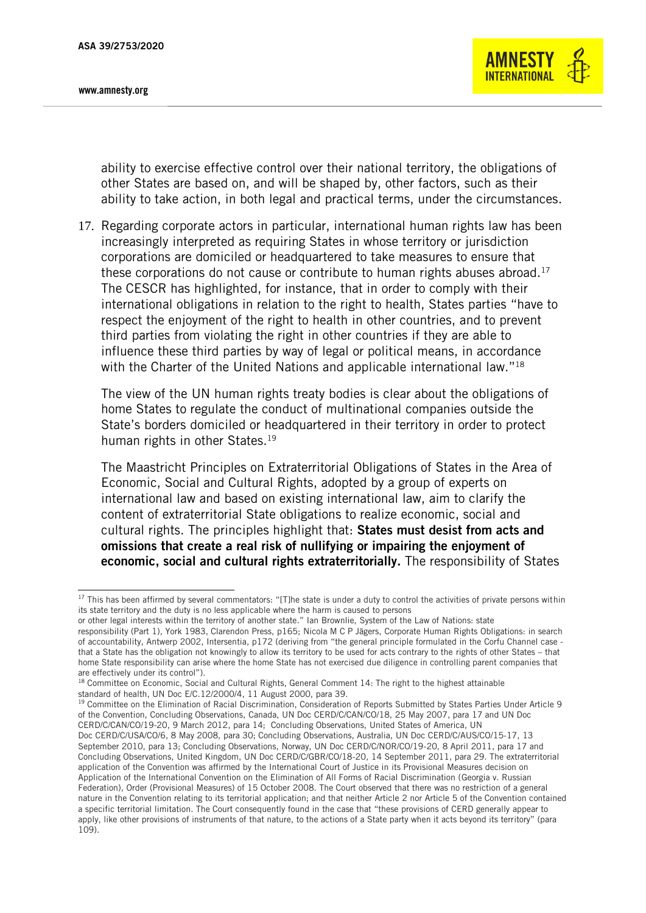-



ability to exercise effective control over their national territory, the obligations of other States are based on, and will be shaped by, other factors, such as their ability to take action, in both legal and practical terms, under the circumstances.

17. Regarding corporate actors in particular, international human rights law has been increasingly interpreted as requiring States in whose territory or jurisdiction corporations are domiciled or headquartered to take measures to ensure that these corporations do not cause or contribute to human rights abuses abroad. 17 The CESCR has highlighted, for instance, that in order to comply with their international obligations in relation to the right to health, States parties "have to respect the enjoyment of the right to health in other countries, and to prevent third parties from violating the right in other countries if they are able to influence these third parties by way of legal or political means, in accordance with the Charter of the United Nations and applicable international law."<sup>18</sup>

The view of the UN human rights treaty bodies is clear about the obligations of home States to regulate the conduct of multinational companies outside the State's borders domiciled or headquartered in their territory in order to protect human rights in other States.<sup>19</sup>

The Maastricht Principles on Extraterritorial Obligations of States in the Area of Economic, Social and Cultural Rights, adopted by a group of experts on international law and based on existing international law, aim to clarify the content of extraterritorial State obligations to realize economic, social and cultural rights. The principles highlight that: States must desist from acts and omissions that create a real risk of nullifying or impairing the enjoyment of economic, social and cultural rights extraterritorially. The responsibility of States

<sup>19</sup> Committee on the Elimination of Racial Discrimination, Consideration of Reports Submitted by States Parties Under Article 9 of the Convention, Concluding Observations, Canada, UN Doc CERD/C/CAN/CO/18, 25 May 2007, para 17 and UN Doc CERD/C/CAN/CO/19-20, 9 March 2012, para 14; Concluding Observations, United States of America, UN

<sup>&</sup>lt;sup>17</sup> This has been affirmed by several commentators: "[T]he state is under a duty to control the activities of private persons within its state territory and the duty is no less applicable where the harm is caused to persons

or other legal interests within the territory of another state." Ian Brownlie, System of the Law of Nations: state

responsibility (Part 1), York 1983, Clarendon Press, p165; Nicola M C P Jägers, Corporate Human Rights Obligations: in search of accountability, Antwerp 2002, Intersentia, p172 (deriving from "the general principle formulated in the Corfu Channel case that a State has the obligation not knowingly to allow its territory to be used for acts contrary to the rights of other States – that home State responsibility can arise where the home State has not exercised due diligence in controlling parent companies that are effectively under its control").

<sup>&</sup>lt;sup>18</sup> Committee on Economic, Social and Cultural Rights, General Comment 14: The right to the highest attainable standard of health, UN Doc E/C.12/2000/4, 11 August 2000, para 39.

Doc CERD/C/USA/CO/6, 8 May 2008, para 30; Concluding Observations, Australia, UN Doc CERD/C/AUS/CO/15-17, 13 September 2010, para 13; Concluding Observations, Norway, UN Doc CERD/C/NOR/CO/19-20, 8 April 2011, para 17 and Concluding Observations, United Kingdom, UN Doc CERD/C/GBR/CO/18-20, 14 September 2011, para 29. The extraterritorial application of the Convention was affirmed by the International Court of Justice in its Provisional Measures decision on Application of the International Convention on the Elimination of All Forms of Racial Discrimination (Georgia v. Russian Federation), Order (Provisional Measures) of 15 October 2008. The Court observed that there was no restriction of a general nature in the Convention relating to its territorial application; and that neither Article 2 nor Article 5 of the Convention contained a specific territorial limitation. The Court consequently found in the case that "these provisions of CERD generally appear to apply, like other provisions of instruments of that nature, to the actions of a State party when it acts beyond its territory" (para 109).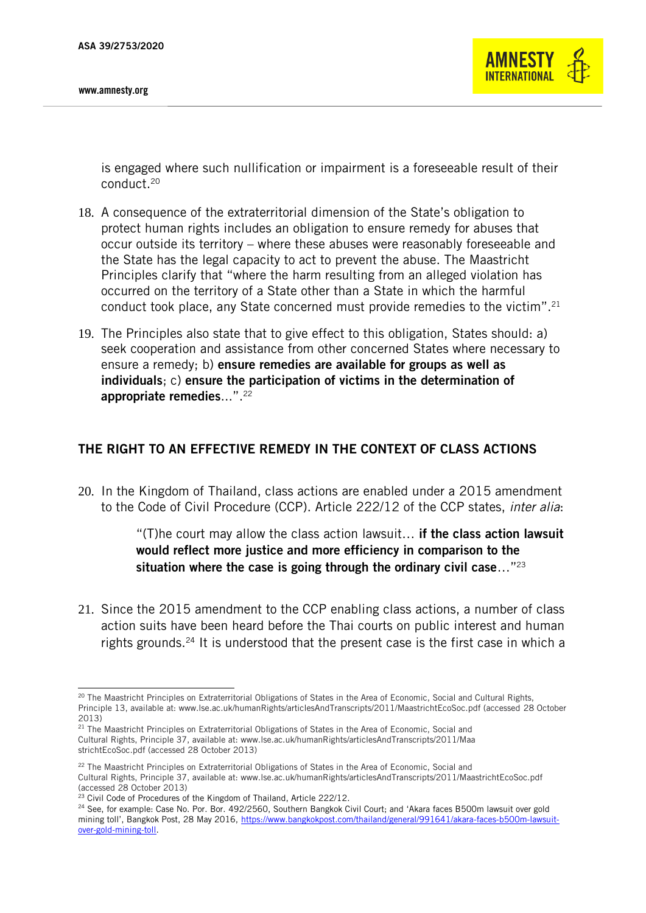

is engaged where such nullification or impairment is a foreseeable result of their conduct.<sup>20</sup>

- 18. A consequence of the extraterritorial dimension of the State's obligation to protect human rights includes an obligation to ensure remedy for abuses that occur outside its territory – where these abuses were reasonably foreseeable and the State has the legal capacity to act to prevent the abuse. The Maastricht Principles clarify that "where the harm resulting from an alleged violation has occurred on the territory of a State other than a State in which the harmful conduct took place, any State concerned must provide remedies to the victim".<sup>21</sup>
- 19. The Principles also state that to give effect to this obligation, States should: a) seek cooperation and assistance from other concerned States where necessary to ensure a remedy; b) ensure remedies are available for groups as well as individuals; c) ensure the participation of victims in the determination of appropriate remedies...".<sup>22</sup>

# THE RIGHT TO AN EFFECTIVE REMEDY IN THE CONTEXT OF CLASS ACTIONS

20. In the Kingdom of Thailand, class actions are enabled under a 2015 amendment to the Code of Civil Procedure (CCP). Article 222/12 of the CCP states, *inter alia*:

> "(T)he court may allow the class action lawsuit... if the class action lawsuit would reflect more justice and more efficiency in comparison to the situation where the case is going through the ordinary civil case..."<sup>23</sup>

21. Since the 2015 amendment to the CCP enabling class actions, a number of class action suits have been heard before the Thai courts on public interest and human rights grounds.<sup>24</sup> It is understood that the present case is the first case in which a

<sup>-</sup> $^{20}$  The Maastricht Principles on Extraterritorial Obligations of States in the Area of Economic, Social and Cultural Rights, Principle 13, available at: www.lse.ac.uk/humanRights/articlesAndTranscripts/2011/MaastrichtEcoSoc.pdf (accessed 28 October 2013)

<sup>&</sup>lt;sup>21</sup> The Maastricht Principles on Extraterritorial Obligations of States in the Area of Economic, Social and Cultural Rights, Principle 37, available at: www.lse.ac.uk/humanRights/articlesAndTranscripts/2011/Maa strichtEcoSoc.pdf (accessed 28 October 2013)

<sup>&</sup>lt;sup>22</sup> The Maastricht Principles on Extraterritorial Obligations of States in the Area of Economic, Social and Cultural Rights, Principle 37, available at: www.lse.ac.uk/humanRights/articlesAndTranscripts/2011/MaastrichtEcoSoc.pdf (accessed 28 October 2013)

<sup>&</sup>lt;sup>23</sup> Civil Code of Procedures of the Kingdom of Thailand, Article 222/12.

<sup>&</sup>lt;sup>24</sup> See, for example: Case No. Por. Bor. 492/2560, Southern Bangkok Civil Court; and 'Akara faces B500m lawsuit over gold mining toll', Bangkok Post, 28 May 2016, [https://www.bangkokpost.com/thailand/general/991641/akara-faces-b500m-lawsuit](https://www.bangkokpost.com/thailand/general/991641/akara-faces-b500m-lawsuit-over-gold-mining-toll)[over-gold-mining-toll.](https://www.bangkokpost.com/thailand/general/991641/akara-faces-b500m-lawsuit-over-gold-mining-toll)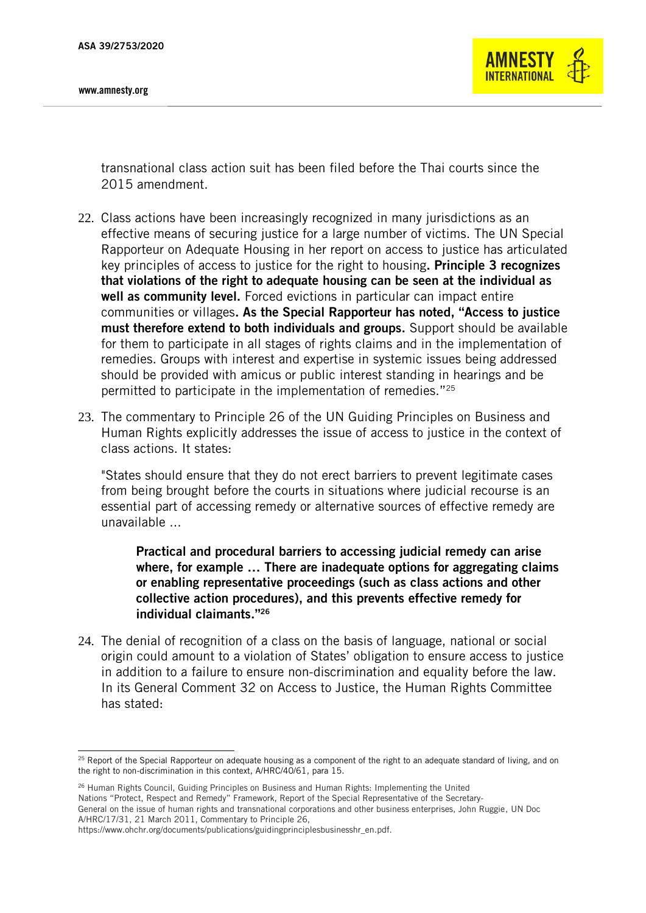-



transnational class action suit has been filed before the Thai courts since the 2015 amendment.

- 22. Class actions have been increasingly recognized in many jurisdictions as an effective means of securing justice for a large number of victims. The UN Special Rapporteur on Adequate Housing in her report on access to justice has articulated key principles of access to justice for the right to housing. Principle 3 recognizes that violations of the right to adequate housing can be seen at the individual as well as community level. Forced evictions in particular can impact entire communities or villages. As the Special Rapporteur has noted, "Access to justice must therefore extend to both individuals and groups. Support should be available for them to participate in all stages of rights claims and in the implementation of remedies. Groups with interest and expertise in systemic issues being addressed should be provided with amicus or public interest standing in hearings and be permitted to participate in the implementation of remedies."<sup>25</sup>
- 23. The commentary to Principle 26 of the UN Guiding Principles on Business and Human Rights explicitly addresses the issue of access to justice in the context of class actions. It states:

"States should ensure that they do not erect barriers to prevent legitimate cases from being brought before the courts in situations where judicial recourse is an essential part of accessing remedy or alternative sources of effective remedy are unavailable ...

Practical and procedural barriers to accessing judicial remedy can arise where, for example … There are inadequate options for aggregating claims or enabling representative proceedings (such as class actions and other collective action procedures), and this prevents effective remedy for individual claimants."<sup>26</sup>

24. The denial of recognition of a class on the basis of language, national or social origin could amount to a violation of States' obligation to ensure access to justice in addition to a failure to ensure non-discrimination and equality before the law. In its General Comment 32 on Access to Justice, the Human Rights Committee has stated:

 $25$  Report of the Special Rapporteur on adequate housing as a component of the right to an adequate standard of living, and on the right to non-discrimination in this context, A/HRC/40/61, para 15.

<sup>&</sup>lt;sup>26</sup> Human Rights Council, Guiding Principles on Business and Human Rights: Implementing the United Nations "Protect, Respect and Remedy" Framework, Report of the Special Representative of the Secretary-General on the issue of human rights and transnational corporations and other business enterprises, John Ruggie, UN Doc A/HRC/17/31, 21 March 2011, Commentary to Principle 26,

https://www.ohchr.org/documents/publications/guidingprinciplesbusinesshr\_en.pdf.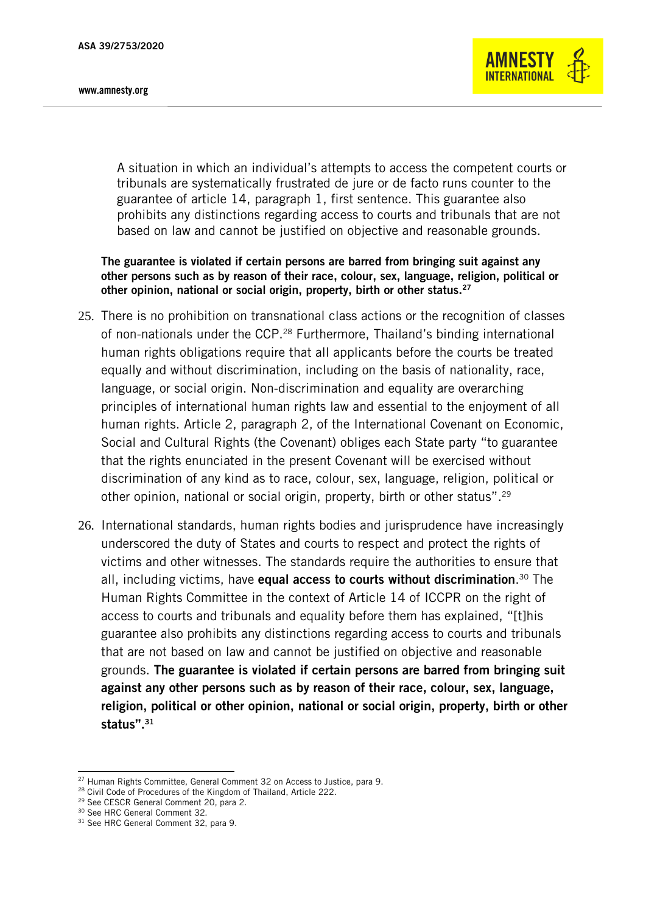

A situation in which an individual's attempts to access the competent courts or tribunals are systematically frustrated de jure or de facto runs counter to the guarantee of article 14, paragraph 1, first sentence. This guarantee also prohibits any distinctions regarding access to courts and tribunals that are not based on law and cannot be justified on objective and reasonable grounds.

The guarantee is violated if certain persons are barred from bringing suit against any other persons such as by reason of their race, colour, sex, language, religion, political or other opinion, national or social origin, property, birth or other status.<sup>27</sup>

- 25. There is no prohibition on transnational class actions or the recognition of classes of non-nationals under the CCP.<sup>28</sup> Furthermore, Thailand's binding international human rights obligations require that all applicants before the courts be treated equally and without discrimination, including on the basis of nationality, race, language, or social origin. Non-discrimination and equality are overarching principles of international human rights law and essential to the enjoyment of all human rights. Article 2, paragraph 2, of the International Covenant on Economic, Social and Cultural Rights (the Covenant) obliges each State party "to guarantee that the rights enunciated in the present Covenant will be exercised without discrimination of any kind as to race, colour, sex, language, religion, political or other opinion, national or social origin, property, birth or other status".<sup>29</sup>
- 26. International standards, human rights bodies and jurisprudence have increasingly underscored the duty of States and courts to respect and protect the rights of victims and other witnesses. The standards require the authorities to ensure that all, including victims, have **equal access to courts without discrimination**.<sup>30</sup> The Human Rights Committee in the context of Article 14 of ICCPR on the right of access to courts and tribunals and equality before them has explained, "[t]his guarantee also prohibits any distinctions regarding access to courts and tribunals that are not based on law and cannot be justified on objective and reasonable grounds. The guarantee is violated if certain persons are barred from bringing suit against any other persons such as by reason of their race, colour, sex, language, religion, political or other opinion, national or social origin, property, birth or other status".<sup>31</sup>

-

<sup>&</sup>lt;sup>27</sup> Human Rights Committee, General Comment 32 on Access to Justice, para 9.

<sup>&</sup>lt;sup>28</sup> Civil Code of Procedures of the Kingdom of Thailand, Article 222.

<sup>29</sup> See CESCR General Comment 20, para 2.

<sup>30</sup> See HRC General Comment 32.

<sup>&</sup>lt;sup>31</sup> See HRC General Comment 32, para 9.